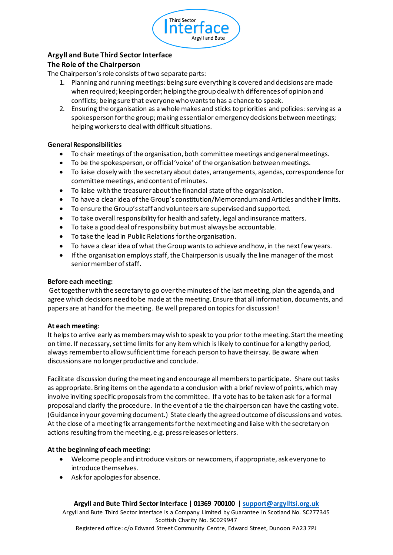

# **Argyll and Bute Third Sector Interface**

## **The Role of the Chairperson**

The Chairperson's role consists of two separate parts:

- 1. Planning and running meetings: being sure everything is covered and decisions are made when required; keeping order; helping the group deal with differences of opinion and conflicts; being sure that everyone who wants to has a chance to speak.
- 2. Ensuring the organisation as a whole makes and sticks to priorities and policies: serving as a spokesperson for the group; making essential or emergency decisions between meetings; helping workers to deal with difficult situations.

## **General Responsibilities**

- To chair meetings of the organisation, both committee meetings and general meetings.
- To be the spokesperson, or official 'voice' of the organisation between meetings.
- To liaise closely with the secretary about dates, arrangements, agendas, correspondence for committee meetings, and content of minutes.
- To liaise with the treasurer about the financial state of the organisation.
- To have a clear idea of the Group's constitution/Memorandum and Articles and their limits.
- To ensure the Group's staff and volunteers are supervised and supported.
- To take overall responsibility for health and safety, legal and insurance matters.
- To take a good deal of responsibility but must always be accountable.
- To take the lead in Public Relations for the organisation.
- To have a clear idea of what the Group wants to achieve and how, in the next few years.
- If the organisation employs staff, the Chairperson is usually the line manager of the most senior member of staff.

## **Before each meeting:**

Get together with the secretary to go over the minutes of the last meeting, plan the agenda, and agree which decisions need to be made at the meeting. Ensure that all information, documents, and papers are at hand for the meeting. Be well prepared on topics for discussion!

#### **At each meeting**:

It helps to arrive early as members may wish to speak to you prior to the meeting. Start the meeting on time. If necessary, set time limits for any item which is likely to continue for a lengthy period, always remember to allow sufficient time for each person to have their say. Be aware when discussions are no longer productive and conclude.

Facilitate discussion during the meeting and encourage all members to participate. Share out tasks as appropriate. Bring items on the agenda to a conclusion with a brief review of points, which may involve inviting specific proposals from the committee. If a vote has to be taken ask for a formal proposal and clarify the procedure. In the event of a tie the chairperson can have the casting vote. (Guidance in your governing document.) State clearly the agreed outcome of discussions and votes. At the close of a meeting fix arrangements for the next meeting and liaise with the secretary on actions resulting from the meeting, e.g. press releases or letters.

## **At the beginning of each meeting:**

- Welcome people and introduce visitors or newcomers, if appropriate, ask everyone to introduce themselves.
- Ask for apologies for absence.

## **Argyll and Bute Third Sector Interface | 01369 700100 | support@argylltsi.org.uk**

Argyll and Bute Third Sector Interface is a Company Limited by Guarantee in Scotland No. SC277345 Scottish Charity No. SC029947 Registered office: c/o Edward Street Community Centre, Edward Street, Dunoon PA23 7PJ